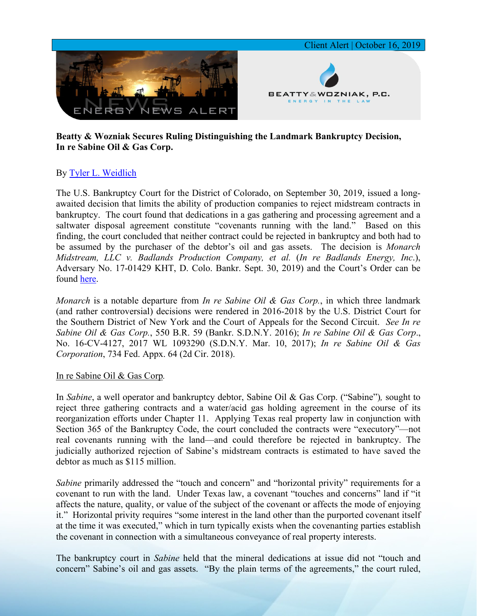

## **Beatty & Wozniak Secures Ruling Distinguishing the Landmark Bankruptcy Decision, In re Sabine Oil & Gas Corp.**

# By Tyler L. [Weidlich](https://www.bwenergylaw.com/tyler-weidlich)

The U.S. Bankruptcy Court for the District of Colorado, on September 30, 2019, issued a longawaited decision that limits the ability of production companies to reject midstream contracts in bankruptcy. The court found that dedications in a gas gathering and processing agreement and a saltwater disposal agreement constitute "covenants running with the land." Based on this finding, the court concluded that neither contract could be rejected in bankruptcy and both had to be assumed by the purchaser of the debtor's oil and gas assets. The decision is *Monarch Midstream, LLC v. Badlands Production Company, et al.* (*In re Badlands Energy, Inc*.), Adversary No. 17-01429 KHT, D. Colo. Bankr. Sept. 30, 2019) and the Court's Order can be found [here.](https://docs.wixstatic.com/ugd/368105_4151bbed8a614921a1e3e9da1b1d20ff.pdf)

*Monarch* is a notable departure from *In re Sabine Oil & Gas Corp.*, in which three landmark (and rather controversial) decisions were rendered in 2016-2018 by the U.S. District Court for the Southern District of New York and the Court of Appeals for the Second Circuit. *See In re Sabine Oil & Gas Corp.*, 550 B.R. 59 (Bankr. S.D.N.Y. 2016); *In re Sabine Oil & Gas Corp*., No. 16-CV-4127, 2017 WL 1093290 (S.D.N.Y. Mar. 10, 2017); *In re Sabine Oil & Gas Corporation*, 734 Fed. Appx. 64 (2d Cir. 2018).

#### In re Sabine Oil & Gas Corp*.*

In *Sabine*, a well operator and bankruptcy debtor, Sabine Oil & Gas Corp. ("Sabine")*,* sought to reject three gathering contracts and a water/acid gas holding agreement in the course of its reorganization efforts under Chapter 11. Applying Texas real property law in conjunction with Section 365 of the Bankruptcy Code, the court concluded the contracts were "executory"—not real covenants running with the land—and could therefore be rejected in bankruptcy. The judicially authorized rejection of Sabine's midstream contracts is estimated to have saved the debtor as much as \$115 million.

*Sabine* primarily addressed the "touch and concern" and "horizontal privity" requirements for a covenant to run with the land. Under Texas law, a covenant "touches and concerns" land if "it affects the nature, quality, or value of the subject of the covenant or affects the mode of enjoying it." Horizontal privity requires "some interest in the land other than the purported covenant itself at the time it was executed," which in turn typically exists when the covenanting parties establish the covenant in connection with a simultaneous conveyance of real property interests.

The bankruptcy court in *Sabine* held that the mineral dedications at issue did not "touch and concern" Sabine's oil and gas assets. "By the plain terms of the agreements," the court ruled,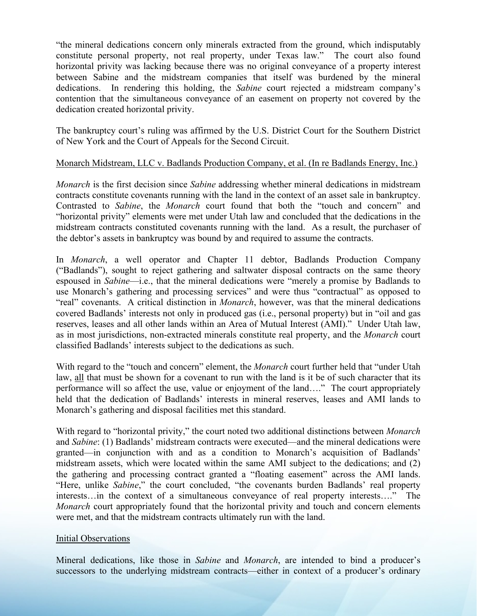"the mineral dedications concern only minerals extracted from the ground, which indisputably constitute personal property, not real property, under Texas law." The court also found horizontal privity was lacking because there was no original conveyance of a property interest between Sabine and the midstream companies that itself was burdened by the mineral dedications. In rendering this holding, the *Sabine* court rejected a midstream company's contention that the simultaneous conveyance of an easement on property not covered by the dedication created horizontal privity.

The bankruptcy court's ruling was affirmed by the U.S. District Court for the Southern District of New York and the Court of Appeals for the Second Circuit.

### Monarch Midstream, LLC v. Badlands Production Company, et al. (In re Badlands Energy, Inc.)

*Monarch* is the first decision since *Sabine* addressing whether mineral dedications in midstream contracts constitute covenants running with the land in the context of an asset sale in bankruptcy. Contrasted to *Sabine*, the *Monarch* court found that both the "touch and concern" and "horizontal privity" elements were met under Utah law and concluded that the dedications in the midstream contracts constituted covenants running with the land. As a result, the purchaser of the debtor's assets in bankruptcy was bound by and required to assume the contracts.

In *Monarch*, a well operator and Chapter 11 debtor, Badlands Production Company ("Badlands"), sought to reject gathering and saltwater disposal contracts on the same theory espoused in *Sabine*—i.e., that the mineral dedications were "merely a promise by Badlands to use Monarch's gathering and processing services" and were thus "contractual" as opposed to "real" covenants. A critical distinction in *Monarch*, however, was that the mineral dedications covered Badlands' interests not only in produced gas (i.e., personal property) but in "oil and gas reserves, leases and all other lands within an Area of Mutual Interest (AMI)." Under Utah law, as in most jurisdictions, non-extracted minerals constitute real property, and the *Monarch* court classified Badlands' interests subject to the dedications as such.

With regard to the "touch and concern" element, the *Monarch* court further held that "under Utah law, all that must be shown for a covenant to run with the land is it be of such character that its performance will so affect the use, value or enjoyment of the land…." The court appropriately held that the dedication of Badlands' interests in mineral reserves, leases and AMI lands to Monarch's gathering and disposal facilities met this standard.

With regard to "horizontal privity," the court noted two additional distinctions between *Monarch*  and *Sabine*: (1) Badlands' midstream contracts were executed—and the mineral dedications were granted—in conjunction with and as a condition to Monarch's acquisition of Badlands' midstream assets, which were located within the same AMI subject to the dedications; and (2) the gathering and processing contract granted a "floating easement" across the AMI lands. "Here, unlike *Sabine*," the court concluded, "the covenants burden Badlands' real property interests…in the context of a simultaneous conveyance of real property interests…." The *Monarch* court appropriately found that the horizontal privity and touch and concern elements were met, and that the midstream contracts ultimately run with the land.

#### Initial Observations

Mineral dedications, like those in *Sabine* and *Monarch*, are intended to bind a producer's successors to the underlying midstream contracts—either in context of a producer's ordinary